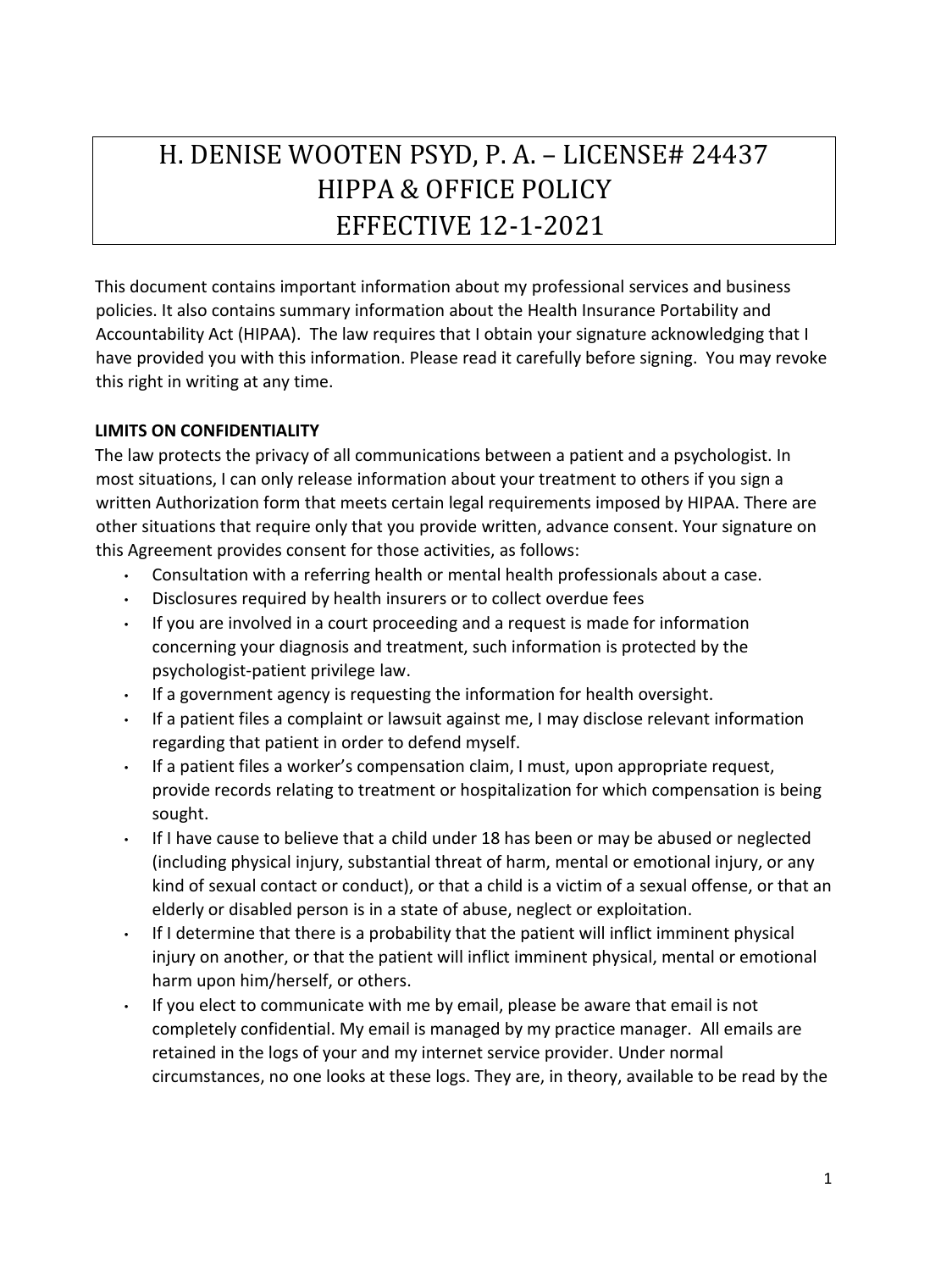# H. DENISE WOOTEN PSYD, P. A. – LICENSE# 24437 HIPPA & OFFICE POLICY EFFECTIVE 12-1-2021

This document contains important information about my professional services and business policies. It also contains summary information about the Health Insurance Portability and Accountability Act (HIPAA). The law requires that I obtain your signature acknowledging that I have provided you with this information. Please read it carefully before signing. You may revoke this right in writing at any time.

## **LIMITS ON CONFIDENTIALITY**

The law protects the privacy of all communications between a patient and a psychologist. In most situations, I can only release information about your treatment to others if you sign a written Authorization form that meets certain legal requirements imposed by HIPAA. There are other situations that require only that you provide written, advance consent. Your signature on this Agreement provides consent for those activities, as follows:

- Consultation with a referring health or mental health professionals about a case.
- Disclosures required by health insurers or to collect overdue fees
- If you are involved in a court proceeding and a request is made for information concerning your diagnosis and treatment, such information is protected by the psychologist-patient privilege law.
- If a government agency is requesting the information for health oversight.
- If a patient files a complaint or lawsuit against me, I may disclose relevant information regarding that patient in order to defend myself.
- If a patient files a worker's compensation claim, I must, upon appropriate request, provide records relating to treatment or hospitalization for which compensation is being sought.
- If I have cause to believe that a child under 18 has been or may be abused or neglected (including physical injury, substantial threat of harm, mental or emotional injury, or any kind of sexual contact or conduct), or that a child is a victim of a sexual offense, or that an elderly or disabled person is in a state of abuse, neglect or exploitation.
- If I determine that there is a probability that the patient will inflict imminent physical injury on another, or that the patient will inflict imminent physical, mental or emotional harm upon him/herself, or others.
- If you elect to communicate with me by email, please be aware that email is not completely confidential. My email is managed by my practice manager. All emails are retained in the logs of your and my internet service provider. Under normal circumstances, no one looks at these logs. They are, in theory, available to be read by the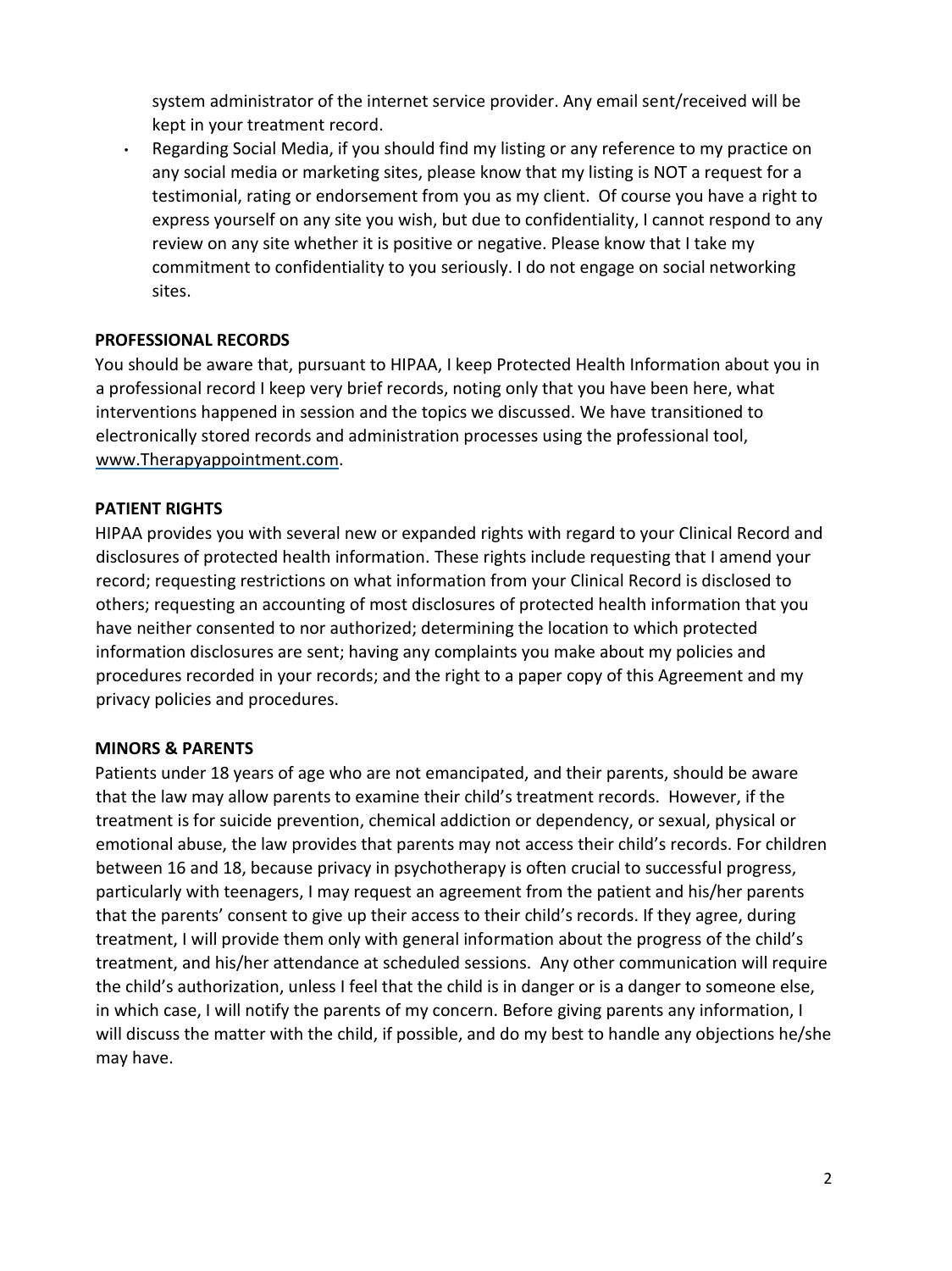system administrator of the internet service provider. Any email sent/received will be kept in your treatment record.

• Regarding Social Media, if you should find my listing or any reference to my practice on any social media or marketing sites, please know that my listing is NOT a request for a testimonial, rating or endorsement from you as my client. Of course you have a right to express yourself on any site you wish, but due to confidentiality, I cannot respond to any review on any site whether it is positive or negative. Please know that I take my commitment to confidentiality to you seriously. I do not engage on social networking sites.

#### **PROFESSIONAL RECORDS**

You should be aware that, pursuant to HIPAA, I keep Protected Health Information about you in a professional record I keep very brief records, noting only that you have been here, what interventions happened in session and the topics we discussed. We have transitioned to electronically stored records and administration processes using the professional tool, [www.Therapyappointment.com.](http://www.therapyappointment.com/) 

## **PATIENT RIGHTS**

HIPAA provides you with several new or expanded rights with regard to your Clinical Record and disclosures of protected health information. These rights include requesting that I amend your record; requesting restrictions on what information from your Clinical Record is disclosed to others; requesting an accounting of most disclosures of protected health information that you have neither consented to nor authorized; determining the location to which protected information disclosures are sent; having any complaints you make about my policies and procedures recorded in your records; and the right to a paper copy of this Agreement and my privacy policies and procedures.

#### **MINORS & PARENTS**

Patients under 18 years of age who are not emancipated, and their parents, should be aware that the law may allow parents to examine their child's treatment records. However, if the treatment is for suicide prevention, chemical addiction or dependency, or sexual, physical or emotional abuse, the law provides that parents may not access their child's records. For children between 16 and 18, because privacy in psychotherapy is often crucial to successful progress, particularly with teenagers, I may request an agreement from the patient and his/her parents that the parents' consent to give up their access to their child's records. If they agree, during treatment, I will provide them only with general information about the progress of the child's treatment, and his/her attendance at scheduled sessions. Any other communication will require the child's authorization, unless I feel that the child is in danger or is a danger to someone else, in which case, I will notify the parents of my concern. Before giving parents any information, I will discuss the matter with the child, if possible, and do my best to handle any objections he/she may have.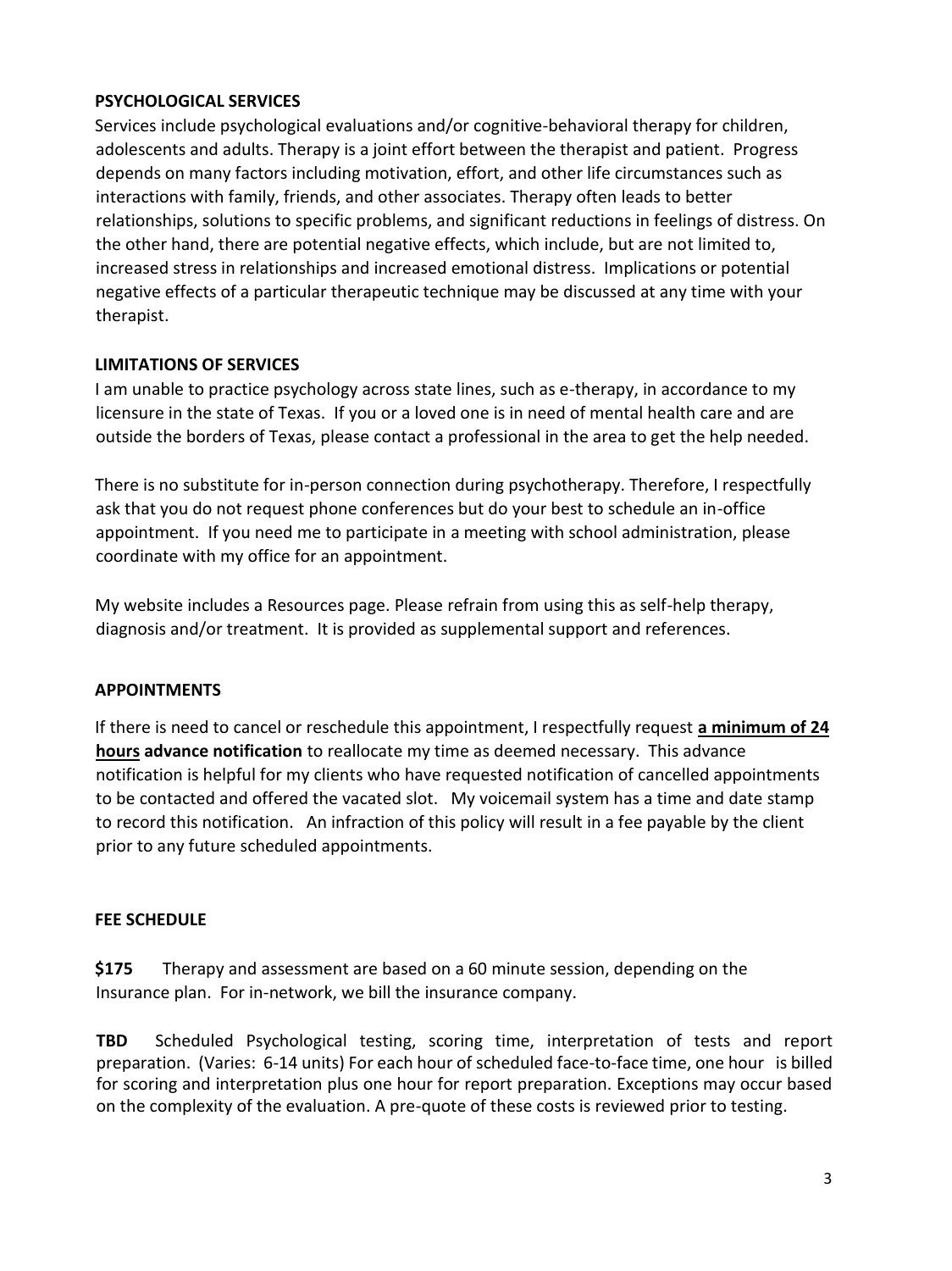## **PSYCHOLOGICAL SERVICES**

Services include psychological evaluations and/or cognitive-behavioral therapy for children, adolescents and adults. Therapy is a joint effort between the therapist and patient. Progress depends on many factors including motivation, effort, and other life circumstances such as interactions with family, friends, and other associates. Therapy often leads to better relationships, solutions to specific problems, and significant reductions in feelings of distress. On the other hand, there are potential negative effects, which include, but are not limited to, increased stress in relationships and increased emotional distress. Implications or potential negative effects of a particular therapeutic technique may be discussed at any time with your therapist.

## **LIMITATIONS OF SERVICES**

I am unable to practice psychology across state lines, such as e-therapy, in accordance to my licensure in the state of Texas. If you or a loved one is in need of mental health care and are outside the borders of Texas, please contact a professional in the area to get the help needed.

There is no substitute for in-person connection during psychotherapy. Therefore, I respectfully ask that you do not request phone conferences but do your best to schedule an in-office appointment. If you need me to participate in a meeting with school administration, please coordinate with my office for an appointment.

My website includes a Resources page. Please refrain from using this as self-help therapy, diagnosis and/or treatment. It is provided as supplemental support and references.

# **APPOINTMENTS**

If there is need to cancel or reschedule this appointment, I respectfully request **a minimum of 24 hours advance notification** to reallocate my time as deemed necessary. This advance notification is helpful for my clients who have requested notification of cancelled appointments to be contacted and offered the vacated slot. My voicemail system has a time and date stamp to record this notification. An infraction of this policy will result in a fee payable by the client prior to any future scheduled appointments.

# **FEE SCHEDULE**

**\$175** Therapy and assessment are based on a 60 minute session, depending on the Insurance plan. For in-network, we bill the insurance company.

**TBD** Scheduled Psychological testing, scoring time, interpretation of tests and report preparation. (Varies: 6-14 units) For each hour of scheduled face-to-face time, one hour is billed for scoring and interpretation plus one hour for report preparation. Exceptions may occur based on the complexity of the evaluation. A pre-quote of these costs is reviewed prior to testing.